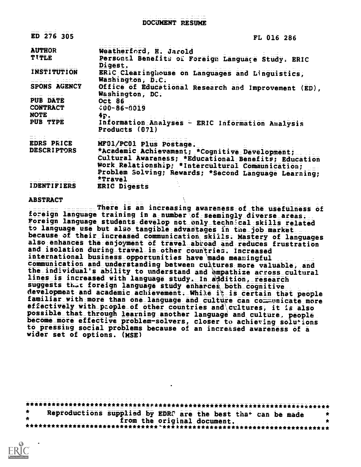DOCUMENT RESUME

| ED 276 305                                                                                                                                                               | FL 016 286                                                                                                                                                                                                                                               |
|--------------------------------------------------------------------------------------------------------------------------------------------------------------------------|----------------------------------------------------------------------------------------------------------------------------------------------------------------------------------------------------------------------------------------------------------|
| <b>AUTHOR</b><br>TITLE                                                                                                                                                   | Weatherford, H. Jarold<br>Personal Benefits of Foreign Language Study. ERIC<br>Digest.                                                                                                                                                                   |
| <b>INSTITUTION</b><br><u>aanse steente</u>                                                                                                                               | ERIC Clearinghouse on Languages and Linguistics,<br>Washington, D.C.                                                                                                                                                                                     |
| SPONS AGENCY                                                                                                                                                             | Office of Educational Research and Improvement (ED),<br>Washington, DC.                                                                                                                                                                                  |
| <b>PUB DATE</b><br><b>CONTRACT</b><br>NOTE                                                                                                                               | <b>Oct 86</b><br>$400 - 86 - 0019$<br>4P <sub>2</sub>                                                                                                                                                                                                    |
| PUB TYPE                                                                                                                                                                 | Information Analyses - ERIC Information Analysis<br>Products $(071)$                                                                                                                                                                                     |
| <b>EDRS PRICE</b><br><b>DESCRIPTORS</b><br>$\mathcal{O}(\mathcal{A}^{\mathcal{A}})$ , where $\mathcal{O}(\mathcal{A}^{\mathcal{A}})$ , where $\mathcal{A}^{\mathcal{A}}$ | MF01/PC01 Plus Postage.<br>*Academic Achievement; *Cognitive Development;<br>Cultural Awareness; *Educational Benefits; Education<br>Work Relationship. *Intercultural Communication;<br>Problem Solving; Rewards; *Second Language Learning;<br>*Travel |
| <b>IDENTIFIERS</b>                                                                                                                                                       | <b>ERIC Digests</b>                                                                                                                                                                                                                                      |

#### **ABSTRACT**

There is an increasing awareness of the usefulness of foreign language training in a number of seemingly diverse areas. Foreign language students develop not only technical skills related to language use but also tangible advantages in the job market. because of their increased communication skills. Mastery of languages also enhances the enjoyment of travel abroad and reduces frustration and isolation during travel in other countries. Increased international business opportunities have made meaningful communication and understanding between cultures more valuable, and the individual's ability to understand and empathize across cultural lines is increased with language study. In addition, research suggests that foreign language study enharces both cognitive development and academic achievement. White it is certain that people familiar with more than one language and culture can communicate more effectively with people of other countries and cultures, it is also possible\_that\_through learning another language and culture, people become more effective problem-solvers, closer to achieving solutions to pressing social problems because of an increased awareness of a wider set of options. (MSE)

Reproductions supplied by EDRS are the best that can be made  $\bullet$ from the original document. 

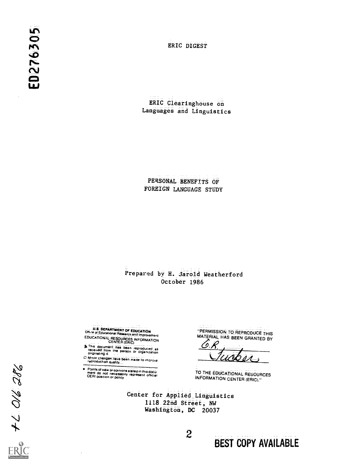ERIC DIGEST

ERIC Clearinghouse on Languages and Linguistics

PERSONAL BENEFITS OF FOREIGN LANGUAGE STUDY

#### Prepared by H. Jarold Weatherford October 1986

U.S. DEPARTMENT OF EDUCATION<br>Off.:@ of Educational Research and Improvement<br>EDUCATIONAL RESOURCES INFORMATION<br>CENTER (ERIC)

A This document has been reproduced as<br>received from the person or organization

D Minor changes have been made to improve

Points of view or opinions stated in this document do not necessarily represent official

"PERMISSION TO REPRODUCE THIS MATERIAL HAS BEEN GRANTED BY

TO THE EDUCATIONAL RESOURCES **INFORMATION CENTER (ERIC)."** 

Center for Applied Linguistics 1118 22nd Street, NW Washington, DC 20037

 $\overline{c}$ 

 $+206.28$ 

**BEST COPY AVAILABLE**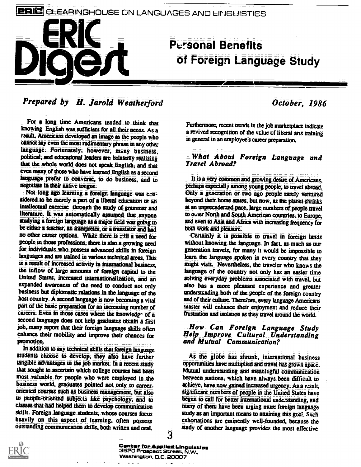# CLEARINGHOUSE ON LANGUAGES AND LINGUISTICS

# Personal Benefits<br>Of Foreign Language Study

# Prepared by H. Jarold Weatherford

For a long time Americans tended to think that knowing English Was Sufficient for all their needs. As a result, Americans developed an image as the people who cannot say even the most rudimentary phrase in any other language. Fortunately, however, many business, political, and educational leaders are belatedly realizing that the whole world does not speak English, and that even many of those who have learned English as a second language prefer to converse, to do business, and to negotiate in their native tongue.

Not long ago learning a foreign language was censidered to be merely a part of a liberal education or an intellectual exercise through the study of grammar and literature. It was automatically assumed that anyone studying a foreign language as a major field was going to be either a teacher, an interpreter, or a translator and had no other career options. While there is rill a need for people in those professions, there is also a growing need for individuals\_who possess advanced skills in foreign languages and are trained in various technical areas. This is a result of increased activity in international business, the inflow of large amounts of foreign capital to the United States, increased internationalization, and an expanded awareness of the need to conduct not only business but diplomatic relations in the language of the host country. A second language is now becoming a vital part of the basic preparation for an increasing number of careers. Even in those cases where the knowledge of a second language does not help graduates obtain a first job, many report that their foreign language skills often How Can Foreign Language Study<br>enhance their mobility and improve their chances for Help Improve Cultural Understanding enhance their mobility and improve their chances for pranotioa.

In addition to any technical skills that foreign language students choose to develop, they also have further tangible advantages in the job market. In a recent study that sought to ascertain which college courses had been most valuable for people who were employed in the business world, graduates pointed not only to careeroriented courses such as business management, but also to people-oriented subjects like psychology, and to classes that had helped them to develop communication skills. Foreign language students, whose courses focus heavily on this aspect of learning, often possess outstanding communication skills, both written andoral.

#### Oetober, 1986

Furthermore, recent trends in the job marketplace indicate a revived recognition of the vclue of liberal arts training in general in an employee's career preparation.

#### What About Foreign Language and Travel Abroad?

It is a very common and growing desire of Americans, perhaps especially among young people, to travel abroad. Only a generation or two ago people rarely ventured beyond their home states, but now, as the planet shrinks at an unprecedented pace, large numbers of people travel to other North and South American countries, to Europe, and even to Asia and Africa with increasing frequency for both work and pleasure.

Certainly it is possible to travel in foreign lands without knowing the language. In fact, as much as our generation travels, for many it would be impossible to learn the language spoken in every cOuntry that they might visit. Nevertheless, the traVeler who knows the language of the country aot only has an easier time solving everyday problems associated with travel, but also has a more pleasant experience and greater understanding both of the people of the foreign country and of their culture. Therefore, every language Americans master will enhance their enjoyment and reduce their frustration and isolation as they travel around the world.

## How Can Foreign Language Study and Mutual Communication?

As the globe has shrunk, international business opportunities have multiplied arid travel has groWn apace. Mutual understanding and meaningful communication between nations, which have always been difficult to achieve, have now gained increased urgency. As a result, significant numbers of people in the United States have begun to call for better international understanding, and many of them have been urging more foreign language study as an important means to attaining this goal. Such exhortations are eminently Well-founded, because the study of another language provides the most effective



3